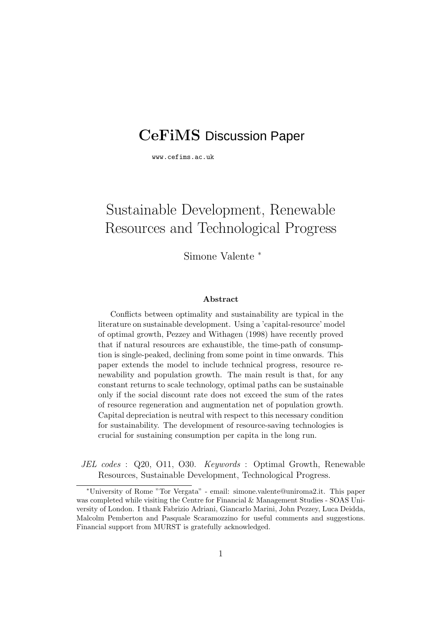# **CeFiMS** Discussion Paper

www.cefims.ac.uk

# Sustainable Development, Renewable Resources and Technological Progress

Simone Valente <sup>∗</sup>

#### **Abstract**

Conflicts between optimality and sustainability are typical in the literature on sustainable development. Using a 'capital-resource' model of optimal growth, Pezzey and Withagen (1998) have recently proved that if natural resources are exhaustible, the time-path of consumption is single-peaked, declining from some point in time onwards. This paper extends the model to include technical progress, resource renewability and population growth. The main result is that, for any constant returns to scale technology, optimal paths can be sustainable only if the social discount rate does not exceed the sum of the rates of resource regeneration and augmentation net of population growth. Capital depreciation is neutral with respect to this necessary condition for sustainability. The development of resource-saving technologies is crucial for sustaining consumption per capita in the long run.

JEL codes : Q20, O11, O30. Keywords : Optimal Growth, Renewable Resources, Sustainable Development, Technological Progress.

<sup>∗</sup>University of Rome "Tor Vergata" - email: simone.valente@uniroma2.it. This paper was completed while visiting the Centre for Financial & Management Studies - SOAS University of London. I thank Fabrizio Adriani, Giancarlo Marini, John Pezzey, Luca Deidda, Malcolm Pemberton and Pasquale Scaramozzino for useful comments and suggestions. Financial support from MURST is gratefully acknowledged.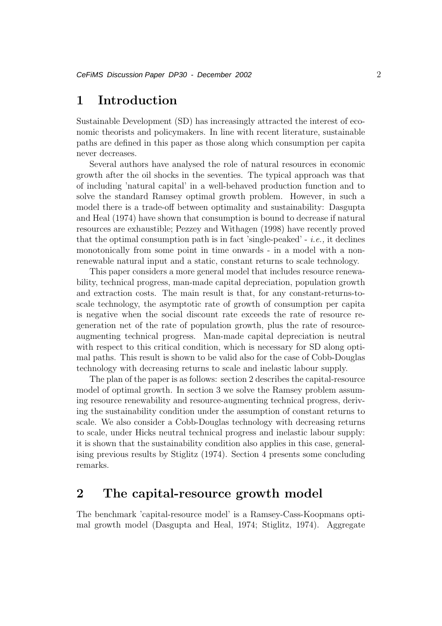## **1 Introduction**

Sustainable Development (SD) has increasingly attracted the interest of economic theorists and policymakers. In line with recent literature, sustainable paths are defined in this paper as those along which consumption per capita never decreases.

Several authors have analysed the role of natural resources in economic growth after the oil shocks in the seventies. The typical approach was that of including 'natural capital' in a well-behaved production function and to solve the standard Ramsey optimal growth problem. However, in such a model there is a trade-off between optimality and sustainability: Dasgupta and Heal (1974) have shown that consumption is bound to decrease if natural resources are exhaustible; Pezzey and Withagen (1998) have recently proved that the optimal consumption path is in fact 'single-peaked' - *i.e.*, it declines monotonically from some point in time onwards - in a model with a nonrenewable natural input and a static, constant returns to scale technology.

This paper considers a more general model that includes resource renewability, technical progress, man-made capital depreciation, population growth and extraction costs. The main result is that, for any constant-returns-toscale technology, the asymptotic rate of growth of consumption per capita is negative when the social discount rate exceeds the rate of resource regeneration net of the rate of population growth, plus the rate of resourceaugmenting technical progress. Man-made capital depreciation is neutral with respect to this critical condition, which is necessary for SD along optimal paths. This result is shown to be valid also for the case of Cobb-Douglas technology with decreasing returns to scale and inelastic labour supply.

The plan of the paper is as follows: section 2 describes the capital-resource model of optimal growth. In section 3 we solve the Ramsey problem assuming resource renewability and resource-augmenting technical progress, deriving the sustainability condition under the assumption of constant returns to scale. We also consider a Cobb-Douglas technology with decreasing returns to scale, under Hicks neutral technical progress and inelastic labour supply: it is shown that the sustainability condition also applies in this case, generalising previous results by Stiglitz (1974). Section 4 presents some concluding remarks.

## **2 The capital-resource growth model**

The benchmark 'capital-resource model' is a Ramsey-Cass-Koopmans optimal growth model (Dasgupta and Heal, 1974; Stiglitz, 1974). Aggregate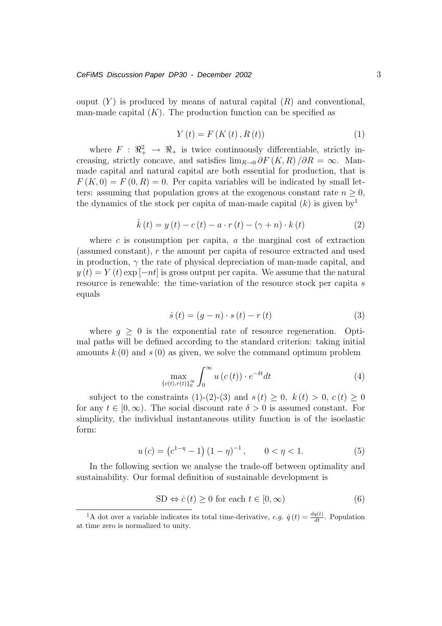ouput  $(Y)$  is produced by means of natural capital  $(R)$  and conventional, man-made capital  $(K)$ . The production function can be specified as

$$
Y(t) = F(K(t), R(t))
$$
\n(1)

where  $F : \mathbb{R}_+^2 \to \mathbb{R}_+$  is twice continuously differentiable, strictly increasing, strictly concave, and satisfies  $\lim_{R\to 0} \partial F(K,R)/\partial R = \infty$ . Manmade capital and natural capital are both essential for production, that is  $F(K, 0) = F(0, R) = 0$ . Per capita variables will be indicated by small letters: assuming that population grows at the exogenous constant rate  $n \geq 0$ , the dynamics of the stock per capita of man-made capital  $(k)$  is given by<sup>1</sup>

$$
\dot{k}(t) = y(t) - c(t) - a \cdot r(t) - (\gamma + n) \cdot k(t)
$$
\n(2)

where  $c$  is consumption per capita,  $a$  the marginal cost of extraction (assumed constant), r the amount per capita of resource extracted and used in production,  $\gamma$  the rate of physical depreciation of man-made capital, and  $y(t) = Y(t)$  exp [−nt] is gross output per capita. We assume that the natural resource is renewable: the time-variation of the resource stock per capita s equals

$$
\dot{s}(t) = (g - n) \cdot s(t) - r(t) \tag{3}
$$

where  $q \geq 0$  is the exponential rate of resource regeneration. Optimal paths will be defined according to the standard criterion: taking initial amounts  $k(0)$  and  $s(0)$  as given, we solve the command optimum problem

$$
\max_{\{c(t),r(t)\}_{0}^{\infty}} \int_{0}^{\infty} u\left(c\left(t\right)\right) \cdot e^{-\delta t} dt \tag{4}
$$

subject to the constraints (1)-(2)-(3) and  $s(t) \geq 0$ ,  $k(t) > 0$ ,  $c(t) \geq 0$ for any  $t \in [0,\infty)$ . The social discount rate  $\delta > 0$  is assumed constant. For simplicity, the individual instantaneous utility function is of the isoelastic form:

$$
u(c) = (c^{1-\eta} - 1)(1-\eta)^{-1}, \qquad 0 < \eta < 1.
$$
 (5)

In the following section we analyse the trade-off between optimality and sustainability. Our formal definition of sustainable development is

$$
SD \Leftrightarrow \dot{c}(t) \ge 0 \text{ for each } t \in [0, \infty)
$$
 (6)

<sup>&</sup>lt;sup>1</sup>A dot over a variable indicates its total time-derivative, e.g.  $\dot{q}(t) = \frac{dq(t)}{dt}$ . Population at time zero is normalized to unity.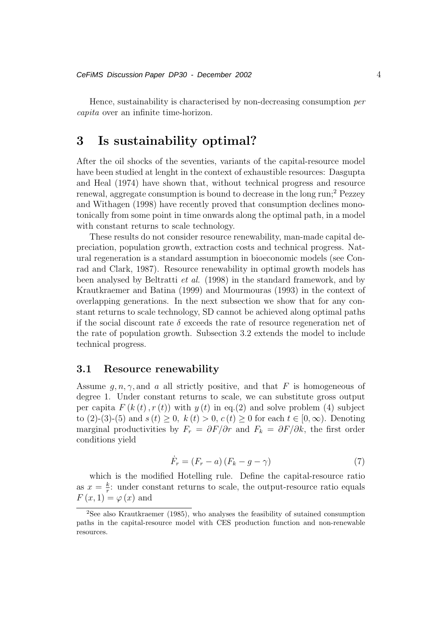Hence, sustainability is characterised by non-decreasing consumption per capita over an infinite time-horizon.

## **3 Is sustainability optimal?**

After the oil shocks of the seventies, variants of the capital-resource model have been studied at lenght in the context of exhaustible resources: Dasgupta and Heal (1974) have shown that, without technical progress and resource renewal, aggregate consumption is bound to decrease in the long run;<sup>2</sup> Pezzey and Withagen (1998) have recently proved that consumption declines monotonically from some point in time onwards along the optimal path, in a model with constant returns to scale technology.

These results do not consider resource renewability, man-made capital depreciation, population growth, extraction costs and technical progress. Natural regeneration is a standard assumption in bioeconomic models (see Conrad and Clark, 1987). Resource renewability in optimal growth models has been analysed by Beltratti et al. (1998) in the standard framework, and by Krautkraemer and Batina (1999) and Mourmouras (1993) in the context of overlapping generations. In the next subsection we show that for any constant returns to scale technology, SD cannot be achieved along optimal paths if the social discount rate  $\delta$  exceeds the rate of resource regeneration net of the rate of population growth. Subsection 3.2 extends the model to include technical progress.

#### **3.1 Resource renewability**

Assume  $q, n, \gamma$ , and a all strictly positive, and that F is homogeneous of degree 1. Under constant returns to scale, we can substitute gross output per capita  $F(k(t), r(t))$  with  $y(t)$  in eq.(2) and solve problem (4) subject to (2)-(3)-(5) and  $s(t) \ge 0$ ,  $k(t) > 0$ ,  $c(t) \ge 0$  for each  $t \in [0,\infty)$ . Denoting marginal productivities by  $F_r = \partial F/\partial r$  and  $F_k = \partial F/\partial k$ , the first order conditions yield

$$
\dot{F}_r = (F_r - a) (F_k - g - \gamma) \tag{7}
$$

which is the modified Hotelling rule. Define the capital-resource ratio as  $x = \frac{k}{r}$ : under constant returns to scale, the output-resource ratio equals  $F(x, 1) = \varphi(x)$  and

<sup>2</sup>See also Krautkraemer (1985), who analyses the feasibility of sutained consumption paths in the capital-resource model with CES production function and non-renewable resources.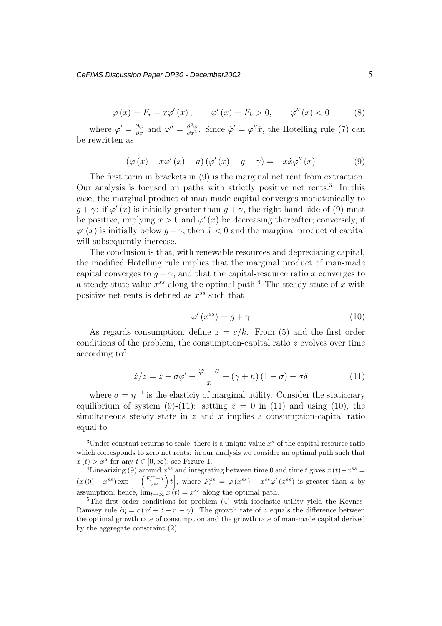$$
\varphi(x) = F_r + x\varphi'(x), \qquad \varphi'(x) = F_k > 0, \qquad \varphi''(x) < 0 \tag{8}
$$

where  $\varphi' = \frac{\partial \varphi}{\partial x}$  and  $\varphi'' = \frac{\partial^2 \varphi}{\partial x^2}$ . Since  $\varphi' = \varphi''\dot{x}$ , the Hotelling rule (7) can be rewritten as

$$
\left(\varphi\left(x\right)-x\varphi'\left(x\right)-a\right)\left(\varphi'\left(x\right)-g-\gamma\right)=-x\dot{x}\varphi''\left(x\right)\tag{9}
$$

The first term in brackets in (9) is the marginal net rent from extraction. Our analysis is focused on paths with strictly positive net rents. $3$  In this case, the marginal product of man-made capital converges monotonically to  $q + \gamma$ : if  $\varphi'(x)$  is initially greater than  $q + \gamma$ , the right hand side of (9) must be positive, implying  $\dot{x} > 0$  and  $\varphi'(x)$  be decreasing thereafter; conversely, if  $\varphi'(x)$  is initially below  $q + \gamma$ , then  $\dot{x} < 0$  and the marginal product of capital will subsequently increase.

The conclusion is that, with renewable resources and depreciating capital, the modified Hotelling rule implies that the marginal product of man-made capital converges to  $q + \gamma$ , and that the capital-resource ratio x converges to a steady state value  $x^{ss}$  along the optimal path.<sup>4</sup> The steady state of x with positive net rents is defined as  $x^{ss}$  such that

$$
\varphi'(x^{ss}) = g + \gamma \tag{10}
$$

As regards consumption, define  $z = c/k$ . From (5) and the first order conditions of the problem, the consumption-capital ratio  $z$  evolves over time  $according to<sup>5</sup>$ 

$$
\dot{z}/z = z + \sigma\varphi' - \frac{\varphi - a}{x} + (\gamma + n)(1 - \sigma) - \sigma\delta \tag{11}
$$

where  $\sigma = \eta^{-1}$  is the elasticiv of marginal utility. Consider the stationary equilibrium of system (9)-(11): setting  $\dot{z} = 0$  in (11) and using (10), the simultaneous steady state in  $z$  and  $x$  implies a consumption-capital ratio equal to

<sup>&</sup>lt;sup>3</sup>Under constant returns to scale, there is a unique value  $x^a$  of the capital-resource ratio which corresponds to zero net rents: in our analysis we consider an optimal path such that  $x(t) > x^a$  for any  $t \in [0, \infty)$ ; see Figure 1.<br><sup>4</sup>Linearizing (9) around  $x^{ss}$  and integrating between time 0 and time t gives  $x(t) - x^{ss} =$ 

 $^{4}$ Linearizing (9) around  $x^{ss}$  and integrating between time 0 and time t gives  $x(t)-x^{ss} =$  $(x(0) - x^{ss}) \exp \left[-\left(\frac{F_r^{ss} - a}{x^{ss}}\right)t\right]$ ], where  $F_r^{ss} = \varphi(x^{ss}) - x^{ss}\varphi'(x^{ss})$  is greater than a by assumption; hence,  $\lim_{t\to\infty} x(t) = x^{ss}$  along the optimal path.<br><sup>5</sup>The first order conditions for problem (4) with isoelastic

 ${}^{5}$ The first order conditions for problem (4) with isoelastic utility yield the Keynes-Ramsey rule  $\dot{c}\eta = c(\varphi' - \delta - n - \gamma)$ . The growth rate of z equals the difference between the optimal growth rate of consumption and the growth rate of man-made capital derived by the aggregate constraint (2).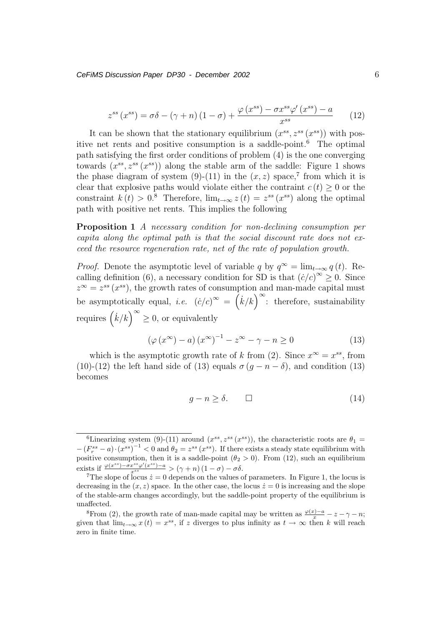*CeFiMS Discussion Paper DP30 - December 2002* 6

$$
z^{ss}(x^{ss}) = \sigma\delta - (\gamma + n)(1 - \sigma) + \frac{\varphi(x^{ss}) - \sigma x^{ss} \varphi'(x^{ss}) - a}{x^{ss}} \tag{12}
$$

It can be shown that the stationary equilibrium  $(x^{ss}, z^{ss}(x^{ss}))$  with positive net rents and positive consumption is a saddle-point.<sup>6</sup> The optimal path satisfying the first order conditions of problem (4) is the one converging towards  $(x^{ss}, z^{ss}(x^{ss}))$  along the stable arm of the saddle: Figure 1 shows the phase diagram of system (9)-(11) in the  $(x, z)$  space,<sup>7</sup> from which it is clear that explosive paths would violate either the contraint  $c(t) \geq 0$  or the constraint  $k(t) > 0.8$  Therefore,  $\lim_{t\to\infty} z(t) = z^{ss}(x^{ss})$  along the optimal path with positive net rents. This implies the following

**Proposition 1** A necessary condition for non-declining consumption per capita along the optimal path is that the social discount rate does not exceed the resource regeneration rate, net of the rate of population growth.

*Proof.* Denote the asymptotic level of variable q by  $q^{\infty} = \lim_{t \to \infty} q(t)$ . Recalling definition (6), a necessary condition for SD is that  $(\dot{c}/c)^{\infty} \geq 0$ . Since  $z^{\infty} = z^{ss} (x^{ss})$ , the growth rates of consumption and man-made capital must be asymptotically equal, *i.e.*  $(\dot{c}/c)^{\infty} = (\dot{k}/k)^{\infty}$ : therefore, sustainability requires  $(k/k)^{\infty} \geq 0$ , or equivalently

$$
\left(\varphi\left(x^{\infty}\right)-a\right)\left(x^{\infty}\right)^{-1}-z^{\infty}-\gamma-n\geq 0\tag{13}
$$

which is the asymptotic growth rate of k from (2). Since  $x^{\infty} = x^{ss}$ , from (10)-(12) the left hand side of (13) equals  $\sigma (g - n - \delta)$ , and condition (13) becomes

$$
g - n \ge \delta. \qquad \Box \tag{14}
$$

<sup>&</sup>lt;sup>6</sup>Linearizing system (9)-(11) around  $(x^{ss}, z^{ss}(x^{ss}))$ , the characteristic roots are  $\theta_1 =$  $-(F_r^{ss} - a) \cdot (x^{ss})^{-1} < 0$  and  $\theta_2 = z^{ss} (x^{ss})$ . If there exists a steady state equilibrium with notice consumption then it is a saddle-point  $(\theta_2 > 0)$ . From (12) such an equilibrium positive consumption, then it is a saddle-point  $(\theta_2 > 0)$ . From (12), such an equilibrium exists if  $\frac{\varphi(x^{ss})-\sigma x^{ss}\varphi'(x^{ss})-a}{x^{ss}}$ 

<sup>&</sup>lt;sup>7</sup>The slope of locus  $\dot{z} = 0$  depends on the values of parameters. In Figure 1, the locus is decreasing in the  $(x, z)$  space. In the other case, the locus  $\dot{z} = 0$  is increasing and the slope of the stable-arm changes accordingly, but the saddle-point property of the equilibrium is unaffected.

<sup>&</sup>lt;sup>8</sup>From (2), the growth rate of man-made capital may be written as  $\frac{\varphi(x)-a}{x} - z - \gamma - n;$ given that  $\lim_{t\to\infty} x(t) = x^{ss}$ , if z diverges to plus infinity as  $t\to\infty$  then k will reach zero in finite time.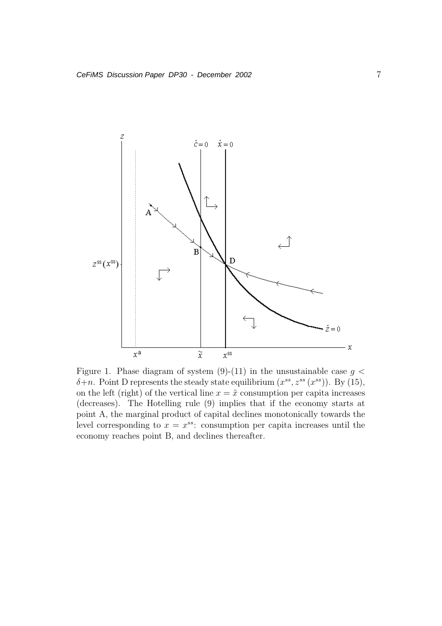

Figure 1. Phase diagram of system  $(9)-(11)$  in the unsustainable case  $g <$  $\delta+n$ . Point D represents the steady state equilibrium  $(x^{ss}, z^{ss}(x^{ss}))$ . By (15), on the left (right) of the vertical line  $x = \tilde{x}$  consumption per capita increases (decreases). The Hotelling rule (9) implies that if the economy starts at point A, the marginal product of capital declines monotonically towards the level corresponding to  $x = x^{ss}$ : consumption per capita increases until the economy reaches point B, and declines thereafter.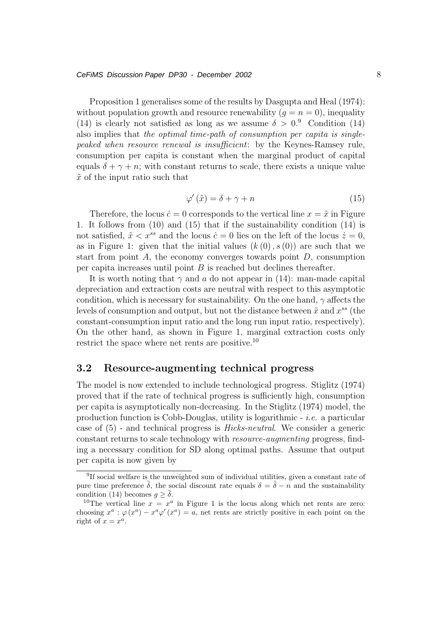#### *CeFiMS Discussion Paper DP30 - December 2002* 8

Proposition 1 generalises some of the results by Dasgupta and Heal (1974): without population growth and resource renewability  $(q = n = 0)$ , inequality (14) is clearly not satisfied as long as we assume  $\delta > 0$ .<sup>9</sup> Condition (14) also implies that the optimal time-path of consumption per capita is singlepeaked when resource renewal is insufficient: by the Keynes-Ramsey rule, consumption per capita is constant when the marginal product of capital equals  $\delta + \gamma + n$ ; with constant returns to scale, there exists a unique value  $\tilde{x}$  of the input ratio such that

$$
\varphi'(\tilde{x}) = \delta + \gamma + n \tag{15}
$$

Therefore, the locus  $\dot{c} = 0$  corresponds to the vertical line  $x = \tilde{x}$  in Figure 1. It follows from (10) and (15) that if the sustainability condition (14) is not satisfied,  $\tilde{x} < x^{ss}$  and the locus  $\dot{c} = 0$  lies on the left of the locus  $\dot{z} = 0$ , as in Figure 1: given that the initial values  $(k(0), s(0))$  are such that we start from point  $A$ , the economy converges towards point  $D$ , consumption per capita increases until point  $B$  is reached but declines thereafter.

It is worth noting that  $\gamma$  and a do not appear in (14): man-made capital depreciation and extraction costs are neutral with respect to this asymptotic condition, which is necessary for sustainability. On the one hand,  $\gamma$  affects the levels of consumption and output, but not the distance between  $\tilde{x}$  and  $x^{ss}$  (the constant-consumption input ratio and the long run input ratio, respectively). On the other hand, as shown in Figure 1, marginal extraction costs only restrict the space where net rents are positive.<sup>10</sup>

### **3.2 Resource-augmenting technical progress**

The model is now extended to include technological progress. Stiglitz (1974) proved that if the rate of technical progress is sufficiently high, consumption per capita is asymptotically non-decreasing. In the Stiglitz (1974) model, the production function is Cobb-Douglas, utility is logarithmic  $-$  *i.e.* a particular case of (5) - and technical progress is Hicks-neutral. We consider a generic constant returns to scale technology with resource-augmenting progress, finding a necessary condition for SD along optimal paths. Assume that output per capita is now given by

<sup>9</sup>If social welfare is the unweighted sum of individual utilities, given a constant rate of pure time preference  $\tilde{\delta}$ , the social discount rate equals  $\delta = \tilde{\delta} - n$  and the sustainability condition (14) becomes  $q > \tilde{\delta}$ .

<sup>&</sup>lt;sup>10</sup>The vertical line  $x = x^a$  in Figure 1 is the locus along which net rents are zero: choosing  $x^a : \varphi(x^a) - x^a \varphi'(x^a) = a$ , net rents are strictly positive in each point on the right of  $x = x^a$ .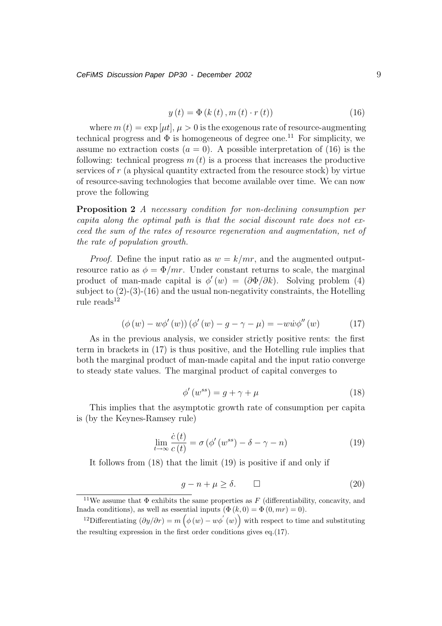$$
y(t) = \Phi(k(t), m(t) \cdot r(t))
$$
\n(16)

where  $m(t) = \exp[\mu t], \mu > 0$  is the exogenous rate of resource-augmenting technical progress and  $\Phi$  is homogeneous of degree one.<sup>11</sup> For simplicity, we assume no extraction costs  $(a = 0)$ . A possible interpretation of (16) is the following: technical progress  $m(t)$  is a process that increases the productive services of r (a physical quantity extracted from the resource stock) by virtue of resource-saving technologies that become available over time. We can now prove the following

**Proposition 2** A necessary condition for non-declining consumption per capita along the optimal path is that the social discount rate does not exceed the sum of the rates of resource regeneration and augmentation, net of the rate of population growth.

*Proof.* Define the input ratio as  $w = k/mr$ , and the augmented outputresource ratio as  $\phi = \Phi/mr$ . Under constant returns to scale, the marginal product of man-made capital is  $\phi'(w) = (\partial \Phi/\partial k)$ . Solving problem (4) subject to  $(2)-(3)-(16)$  and the usual non-negativity constraints, the Hotelling rule reads $12$ 

$$
(\phi(w) - w\phi'(w)) (\phi'(w) - g - \gamma - \mu) = -ww\phi''(w)
$$
 (17)

As in the previous analysis, we consider strictly positive rents: the first term in brackets in (17) is thus positive, and the Hotelling rule implies that both the marginal product of man-made capital and the input ratio converge to steady state values. The marginal product of capital converges to

$$
\phi'(w^{ss}) = g + \gamma + \mu \tag{18}
$$

This implies that the asymptotic growth rate of consumption per capita is (by the Keynes-Ramsey rule)

$$
\lim_{t \to \infty} \frac{\dot{c}(t)}{c(t)} = \sigma \left( \phi'(w^{ss}) - \delta - \gamma - n \right)
$$
\n(19)

It follows from (18) that the limit (19) is positive if and only if

$$
g - n + \mu \ge \delta. \qquad \Box \tag{20}
$$

<sup>&</sup>lt;sup>11</sup>We assume that  $\Phi$  exhibits the same properties as F (differentiability, concavity, and Inada conditions), as well as essential inputs  $(\Phi(k, 0) = \Phi(0, mr) = 0)$ .

<sup>&</sup>lt;sup>12</sup>Differentiating  $(\partial y/\partial r) = m(\phi(w) - w\phi'(w))$  with respect to time and substituting the resulting expression in the first order conditions gives eq.(17).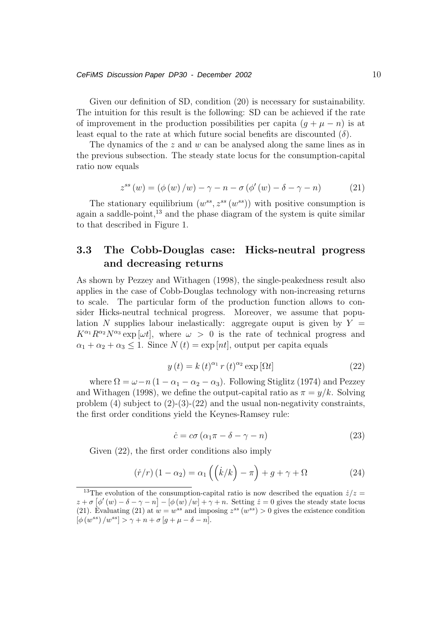#### *CeFiMS Discussion Paper DP30 - December 2002* 10

Given our definition of SD, condition (20) is necessary for sustainability. The intuition for this result is the following: SD can be achieved if the rate of improvement in the production possibilities per capita  $(g + \mu - n)$  is at least equal to the rate at which future social benefits are discounted  $(\delta)$ .

The dynamics of the  $z$  and  $w$  can be analysed along the same lines as in the previous subsection. The steady state locus for the consumption-capital ratio now equals

$$
z^{ss}(w) = (\phi(w)/w) - \gamma - n - \sigma(\phi'(w) - \delta - \gamma - n)
$$
 (21)

The stationary equilibrium  $(w^{ss}, z^{ss}(w^{ss}))$  with positive consumption is again a saddle-point, $^{13}$  and the phase diagram of the system is quite similar to that described in Figure 1.

### **3.3 The Cobb-Douglas case: Hicks-neutral progress and decreasing returns**

As shown by Pezzey and Withagen (1998), the single-peakedness result also applies in the case of Cobb-Douglas technology with non-increasing returns to scale. The particular form of the production function allows to consider Hicks-neutral technical progress. Moreover, we assume that population N supplies labour inelastically: aggregate ouput is given by  $Y =$  $K^{\alpha_1}R^{\alpha_2}N^{\alpha_3}$  exp  $[\omega t]$ , where  $\omega > 0$  is the rate of technical progress and  $\alpha_1 + \alpha_2 + \alpha_3 \leq 1$ . Since  $N(t) = \exp[nt]$ , output per capita equals

$$
y(t) = k(t)^{\alpha_1} r(t)^{\alpha_2} \exp[\Omega t]
$$
 (22)

where  $\Omega = \omega - n (1 - \alpha_1 - \alpha_2 - \alpha_3)$ . Following Stiglitz (1974) and Pezzey and Withagen (1998), we define the output-capital ratio as  $\pi = y/k$ . Solving problem  $(4)$  subject to  $(2)-(3)-(22)$  and the usual non-negativity constraints, the first order conditions yield the Keynes-Ramsey rule:

$$
\dot{c} = c\sigma \left( \alpha_1 \pi - \delta - \gamma - n \right) \tag{23}
$$

Given (22), the first order conditions also imply

$$
(\dot{r}/r)(1-\alpha_2) = \alpha_1\left(\left(\dot{k}/k\right) - \pi\right) + g + \gamma + \Omega \tag{24}
$$

<sup>&</sup>lt;sup>13</sup>The evolution of the consumption-capital ratio is now described the equation  $\dot{z}/z =$  $z + \sigma \left[ \phi'(w) - \delta - \gamma - n \right] - \left[ \phi(w)/w \right] + \gamma + n$ . Setting  $\dot{z} = 0$  gives the steady state locus (21). Evaluating (21) at  $w = w^{ss}$  and imposing  $z^{ss}/w^{ss}$ ) > 0 gives the existence condition (21). Evaluating (21) at  $w = w^{ss}$  and imposing  $z^{ss}(w^{ss}) > 0$  gives the existence condition  $\left[\phi(w^{ss})/w^{ss}\right] > \gamma + n + \sigma[g + \mu - \delta - n].$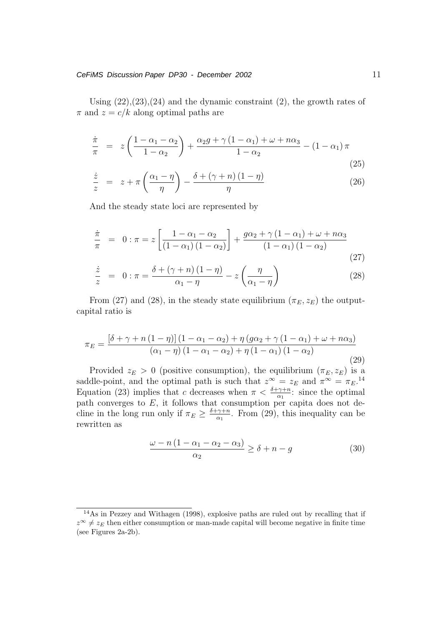Using  $(22),(23),(24)$  and the dynamic constraint  $(2)$ , the growth rates of  $\pi$  and  $z = c/k$  along optimal paths are

$$
\frac{\dot{\pi}}{\pi} = z \left( \frac{1 - \alpha_1 - \alpha_2}{1 - \alpha_2} \right) + \frac{\alpha_2 g + \gamma \left( 1 - \alpha_1 \right) + \omega + n \alpha_3}{1 - \alpha_2} - \left( 1 - \alpha_1 \right) \pi \tag{25}
$$

$$
\frac{\dot{z}}{z} = z + \pi \left( \frac{\alpha_1 - \eta}{\eta} \right) - \frac{\delta + (\gamma + n)(1 - \eta)}{\eta} \tag{26}
$$

And the steady state loci are represented by

$$
\frac{\dot{\pi}}{\pi} = 0: \pi = z \left[ \frac{1 - \alpha_1 - \alpha_2}{(1 - \alpha_1)(1 - \alpha_2)} \right] + \frac{g\alpha_2 + \gamma(1 - \alpha_1) + \omega + n\alpha_3}{(1 - \alpha_1)(1 - \alpha_2)} \tag{27}
$$

$$
\frac{\dot{z}}{z} = 0: \pi = \frac{\delta + (\gamma + n)(1 - \eta)}{\alpha_1 - \eta} - z \left(\frac{\eta}{\alpha_1 - \eta}\right)
$$
(28)

From (27) and (28), in the steady state equilibrium  $(\pi_E, z_E)$  the outputcapital ratio is

$$
\pi_E = \frac{\left[\delta + \gamma + n\left(1-\eta\right)\right]\left(1-\alpha_1-\alpha_2\right) + \eta\left(g\alpha_2 + \gamma\left(1-\alpha_1\right) + \omega + n\alpha_3\right)}{\left(\alpha_1 - \eta\right)\left(1-\alpha_1 - \alpha_2\right) + \eta\left(1-\alpha_1\right)\left(1-\alpha_2\right)}\tag{29}
$$

Provided  $z_E > 0$  (positive consumption), the equilibrium  $(\pi_E, z_E)$  is a saddle-point, and the optimal path is such that  $z^{\infty} = z_E$  and  $\pi^{\infty} = \pi_E$ .<sup>14</sup> Equation (23) implies that c decreases when  $\pi < \frac{\delta + \gamma + n}{\alpha_1}$ : since the optimal path converges to  $E$ , it follows that consumption per capita does not decline in the long run only if  $\pi_E \geq \frac{\delta + \gamma + n}{\alpha_1}$ . From (29), this inequality can be rewritten as

$$
\frac{\omega - n\left(1 - \alpha_1 - \alpha_2 - \alpha_3\right)}{\alpha_2} \ge \delta + n - g \tag{30}
$$

<sup>14</sup>As in Pezzey and Withagen (1998), explosive paths are ruled out by recalling that if  $z^{\infty} \neq z_E$  then either consumption or man-made capital will become negative in finite time (see Figures 2a-2b).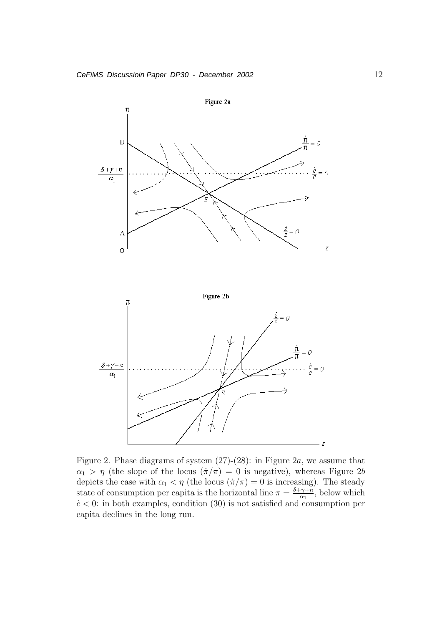

Figure 2. Phase diagrams of system  $(27)-(28)$ : in Figure 2a, we assume that  $\alpha_1 > \eta$  (the slope of the locus  $(\dot{\pi}/\pi) = 0$  is negative), whereas Figure 2b depicts the case with  $\alpha_1 < \eta$  (the locus  $(\dot{\pi}/\pi) = 0$  is increasing). The steady state of consumption per capita is the horizontal line  $\pi = \frac{\delta + \gamma + n}{\alpha_1}$ , below which  $c < 0$ : in both examples, condition (30) is not satisfied and consumption per capita declines in the long run.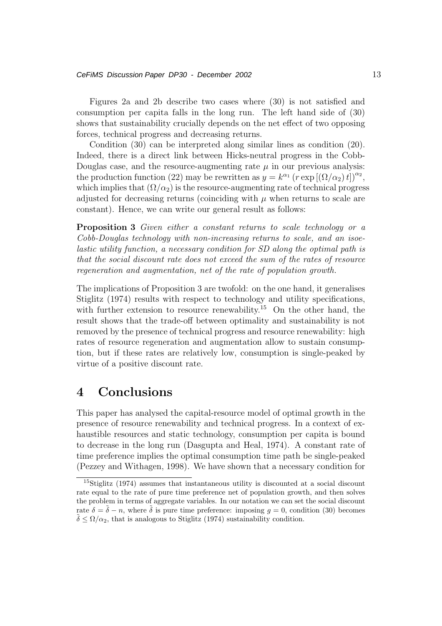Figures 2a and 2b describe two cases where (30) is not satisfied and consumption per capita falls in the long run. The left hand side of (30) shows that sustainability crucially depends on the net effect of two opposing forces, technical progress and decreasing returns.

Condition (30) can be interpreted along similar lines as condition (20). Indeed, there is a direct link between Hicks-neutral progress in the Cobb-Douglas case, and the resource-augmenting rate  $\mu$  in our previous analysis: the production function (22) may be rewritten as  $y = k^{\alpha_1} (r \exp[(\Omega/\alpha_2)t])^{\alpha_2}$ , which implies that  $(\Omega/\alpha_2)$  is the resource-augmenting rate of technical progress adjusted for decreasing returns (coinciding with  $\mu$  when returns to scale are constant). Hence, we can write our general result as follows:

**Proposition 3** Given either a constant returns to scale technology or a Cobb-Douglas technology with non-increasing returns to scale, and an isoelastic utility function, a necessary condition for SD along the optimal path is that the social discount rate does not exceed the sum of the rates of resource regeneration and augmentation, net of the rate of population growth.

The implications of Proposition 3 are twofold: on the one hand, it generalises Stiglitz (1974) results with respect to technology and utility specifications, with further extension to resource renewability.<sup>15</sup> On the other hand, the result shows that the trade-off between optimality and sustainability is not removed by the presence of technical progress and resource renewability: high rates of resource regeneration and augmentation allow to sustain consumption, but if these rates are relatively low, consumption is single-peaked by virtue of a positive discount rate.

### **4 Conclusions**

This paper has analysed the capital-resource model of optimal growth in the presence of resource renewability and technical progress. In a context of exhaustible resources and static technology, consumption per capita is bound to decrease in the long run (Dasgupta and Heal, 1974). A constant rate of time preference implies the optimal consumption time path be single-peaked (Pezzey and Withagen, 1998). We have shown that a necessary condition for

<sup>15</sup>Stiglitz (1974) assumes that instantaneous utility is discounted at a social discount rate equal to the rate of pure time preference net of population growth, and then solves the problem in terms of aggregate variables. In our notation we can set the social discount rate  $\delta = \tilde{\delta} - n$ , where  $\tilde{\delta}$  is pure time preference: imposing  $q = 0$ , condition (30) becomes  $\tilde{\delta} \leq \Omega/\alpha_2$ , that is analogous to Stiglitz (1974) sustainability condition.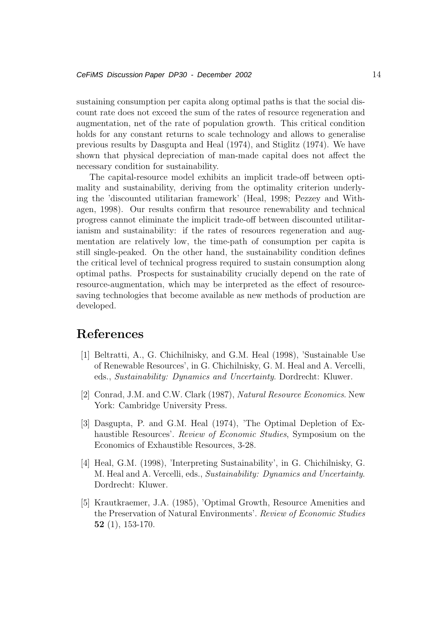sustaining consumption per capita along optimal paths is that the social discount rate does not exceed the sum of the rates of resource regeneration and augmentation, net of the rate of population growth. This critical condition holds for any constant returns to scale technology and allows to generalise previous results by Dasgupta and Heal (1974), and Stiglitz (1974). We have shown that physical depreciation of man-made capital does not affect the necessary condition for sustainability.

The capital-resource model exhibits an implicit trade-off between optimality and sustainability, deriving from the optimality criterion underlying the 'discounted utilitarian framework' (Heal, 1998; Pezzey and Withagen, 1998). Our results confirm that resource renewability and technical progress cannot eliminate the implicit trade-off between discounted utilitarianism and sustainability: if the rates of resources regeneration and augmentation are relatively low, the time-path of consumption per capita is still single-peaked. On the other hand, the sustainability condition defines the critical level of technical progress required to sustain consumption along optimal paths. Prospects for sustainability crucially depend on the rate of resource-augmentation, which may be interpreted as the effect of resourcesaving technologies that become available as new methods of production are developed.

### **References**

- [1] Beltratti, A., G. Chichilnisky, and G.M. Heal (1998), 'Sustainable Use of Renewable Resources', in G. Chichilnisky, G. M. Heal and A. Vercelli, eds., Sustainability: Dynamics and Uncertainty. Dordrecht: Kluwer.
- [2] Conrad, J.M. and C.W. Clark (1987), Natural Resource Economics. New York: Cambridge University Press.
- [3] Dasgupta, P. and G.M. Heal (1974), 'The Optimal Depletion of Exhaustible Resources'. *Review of Economic Studies*, Symposium on the Economics of Exhaustible Resources, 3-28.
- [4] Heal, G.M. (1998), 'Interpreting Sustainability', in G. Chichilnisky, G. M. Heal and A. Vercelli, eds., Sustainability: Dynamics and Uncertainty. Dordrecht: Kluwer.
- [5] Krautkraemer, J.A. (1985), 'Optimal Growth, Resource Amenities and the Preservation of Natural Environments'. Review of Economic Studies **52** (1), 153-170.